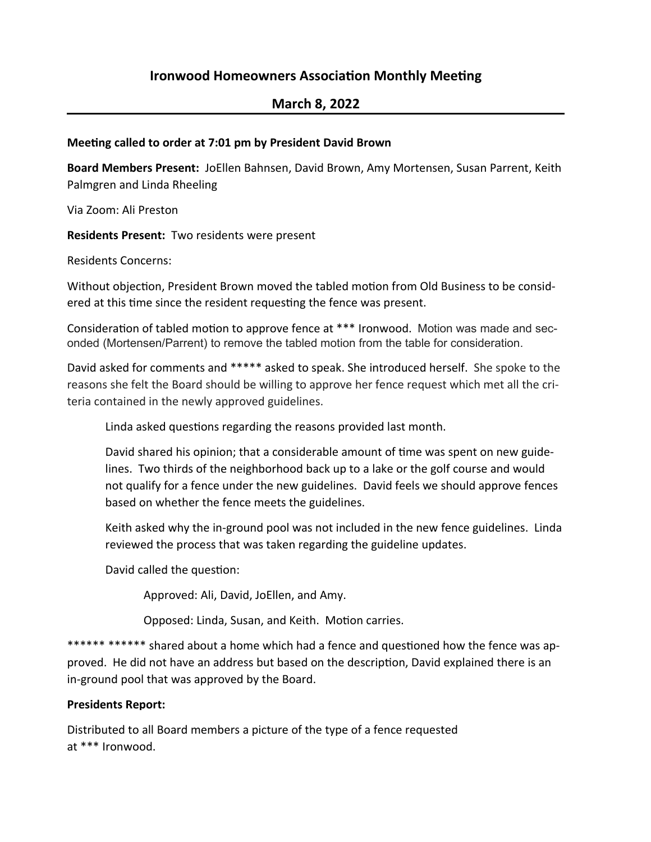## **Ironwood Homeowners Association Monthly Meeting**

# **March 8, 2022**

#### **Meeting called to order at 7:01 pm by President David Brown**

Board Members Present: JoEllen Bahnsen, David Brown, Amy Mortensen, Susan Parrent, Keith Palmgren and Linda Rheeling

Via Zoom: Ali Preston

**Residents Present:** Two residents were present

Residents Concerns:

Without objection, President Brown moved the tabled motion from Old Business to be considered at this time since the resident requesting the fence was present.

Consideration of tabled motion to approve fence at \*\*\* Ironwood. Motion was made and seconded (Mortensen/Parrent) to remove the tabled motion from the table for consideration.

David asked for comments and \*\*\*\*\* asked to speak. She introduced herself. She spoke to the reasons she felt the Board should be willing to approve her fence request which met all the criteria contained in the newly approved guidelines.

Linda asked questions regarding the reasons provided last month.

David shared his opinion; that a considerable amount of time was spent on new guidelines. Two thirds of the neighborhood back up to a lake or the golf course and would not qualify for a fence under the new guidelines. David feels we should approve fences based on whether the fence meets the guidelines.

Keith asked why the in-ground pool was not included in the new fence guidelines. Linda reviewed the process that was taken regarding the guideline updates.

David called the question:

Approved: Ali, David, JoEllen, and Amy.

Opposed: Linda, Susan, and Keith. Motion carries.

\*\*\*\*\*\* \*\*\*\*\*\* shared about a home which had a fence and questioned how the fence was approved. He did not have an address but based on the description, David explained there is an in-ground pool that was approved by the Board.

#### **Presidents Report:**

Distributed to all Board members a picture of the type of a fence requested at \*\*\* Ironwood.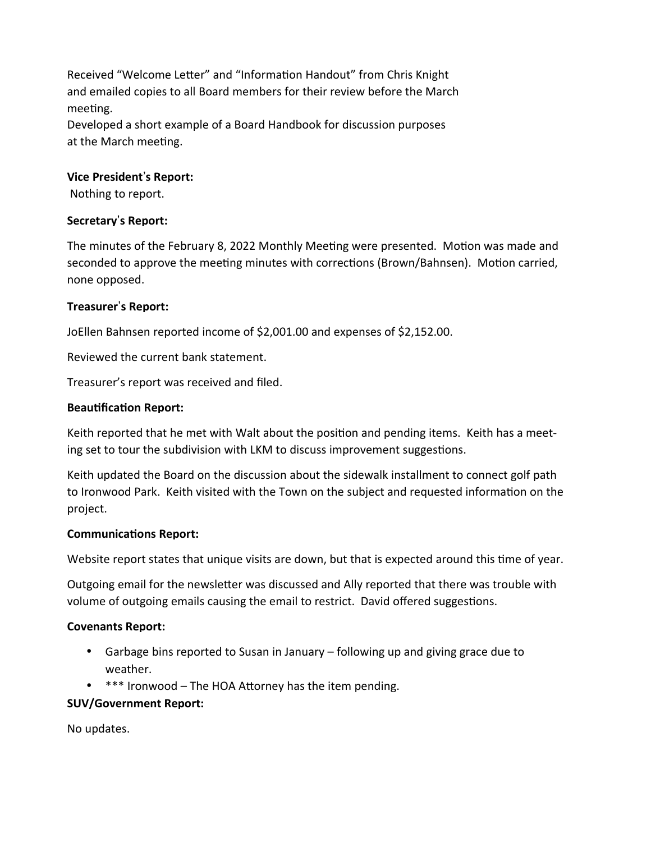Received "Welcome Letter" and "Information Handout" from Chris Knight and emailed copies to all Board members for their review before the March meeting.

Developed a short example of a Board Handbook for discussion purposes at the March meeting.

#### $Vice$  President's Report:

Nothing to report.

### $S$ *Secretary*'s **Report:**

The minutes of the February 8, 2022 Monthly Meeting were presented. Motion was made and seconded to approve the meeting minutes with corrections (Brown/Bahnsen). Motion carried, none opposed.

### $T$  **Treasurer**'s Report:

JoEllen Bahnsen reported income of \$2,001.00 and expenses of \$2,152.00.

Reviewed the current bank statement.

Treasurer's report was received and filed.

#### **Beautification Report:**

Keith reported that he met with Walt about the position and pending items. Keith has a meeting set to tour the subdivision with LKM to discuss improvement suggestions.

Keith updated the Board on the discussion about the sidewalk installment to connect golf path to Ironwood Park. Keith visited with the Town on the subject and requested information on the project.

#### **Communications Report:**

Website report states that unique visits are down, but that is expected around this time of year.

Outgoing email for the newsletter was discussed and Ally reported that there was trouble with volume of outgoing emails causing the email to restrict. David offered suggestions.

#### **Covenants Report:**

- Garbage bins reported to Susan in January following up and giving grace due to weather.
- $*$  \*\*\* Ironwood The HOA Attorney has the item pending.

#### **SUV/Government Report:**

No updates.